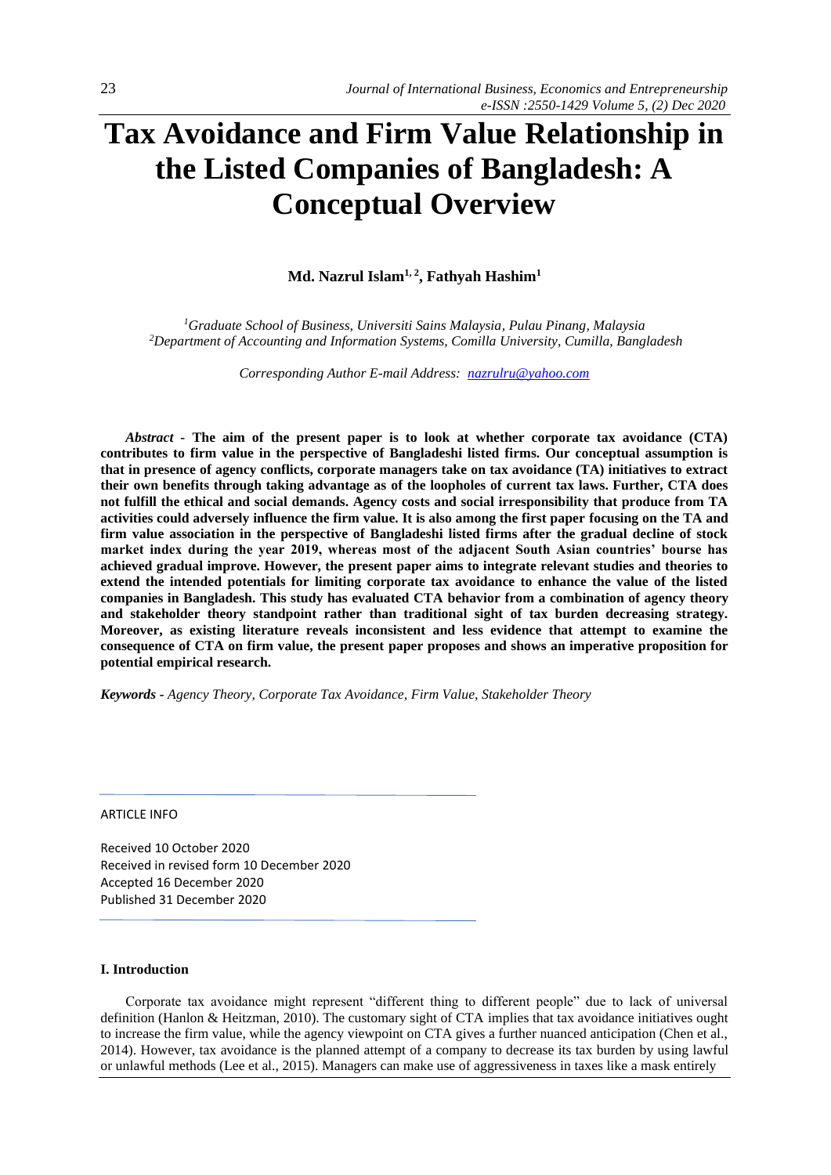# **Tax Avoidance and Firm Value Relationship in the Listed Companies of Bangladesh: A Conceptual Overview**

**Md. Nazrul Islam1, 2, Fathyah Hashim<sup>1</sup>**

*<sup>1</sup>Graduate School of Business, Universiti Sains Malaysia, Pulau Pinang, Malaysia <sup>2</sup>Department of Accounting and Information Systems, Comilla University, Cumilla, Bangladesh*

*Corresponding Author E-mail Address: [nazrulru@yahoo.com](mailto:nazrulru@yahoo.com)*

*Abstract* **- The aim of the present paper is to look at whether corporate tax avoidance (CTA) contributes to firm value in the perspective of Bangladeshi listed firms. Our conceptual assumption is that in presence of agency conflicts, corporate managers take on tax avoidance (TA) initiatives to extract their own benefits through taking advantage as of the loopholes of current tax laws. Further, CTA does not fulfill the ethical and social demands. Agency costs and social irresponsibility that produce from TA activities could adversely influence the firm value. It is also among the first paper focusing on the TA and firm value association in the perspective of Bangladeshi listed firms after the gradual decline of stock market index during the year 2019, whereas most of the adjacent South Asian countries' bourse has achieved gradual improve. However, the present paper aims to integrate relevant studies and theories to extend the intended potentials for limiting corporate tax avoidance to enhance the value of the listed companies in Bangladesh. This study has evaluated CTA behavior from a combination of agency theory and stakeholder theory standpoint rather than traditional sight of tax burden decreasing strategy. Moreover, as existing literature reveals inconsistent and less evidence that attempt to examine the consequence of CTA on firm value, the present paper proposes and shows an imperative proposition for potential empirical research.**

*Keywords - Agency Theory, Corporate Tax Avoidance, Firm Value, Stakeholder Theory*

#### ARTICLE INFO

Received 10 October 2020 Received in revised form 10 December 2020 Accepted 16 December 2020 Published 31 December 2020

## **I. Introduction**

Corporate tax avoidance might represent "different thing to different people" due to lack of universal definition (Hanlon & Heitzman, 2010). The customary sight of CTA implies that tax avoidance initiatives ought to increase the firm value, while the agency viewpoint on CTA gives a further nuanced anticipation (Chen et al., 2014). However, tax avoidance is the planned attempt of a company to decrease its tax burden by using lawful or unlawful methods (Lee et al., 2015). Managers can make use of aggressiveness in taxes like a mask entirely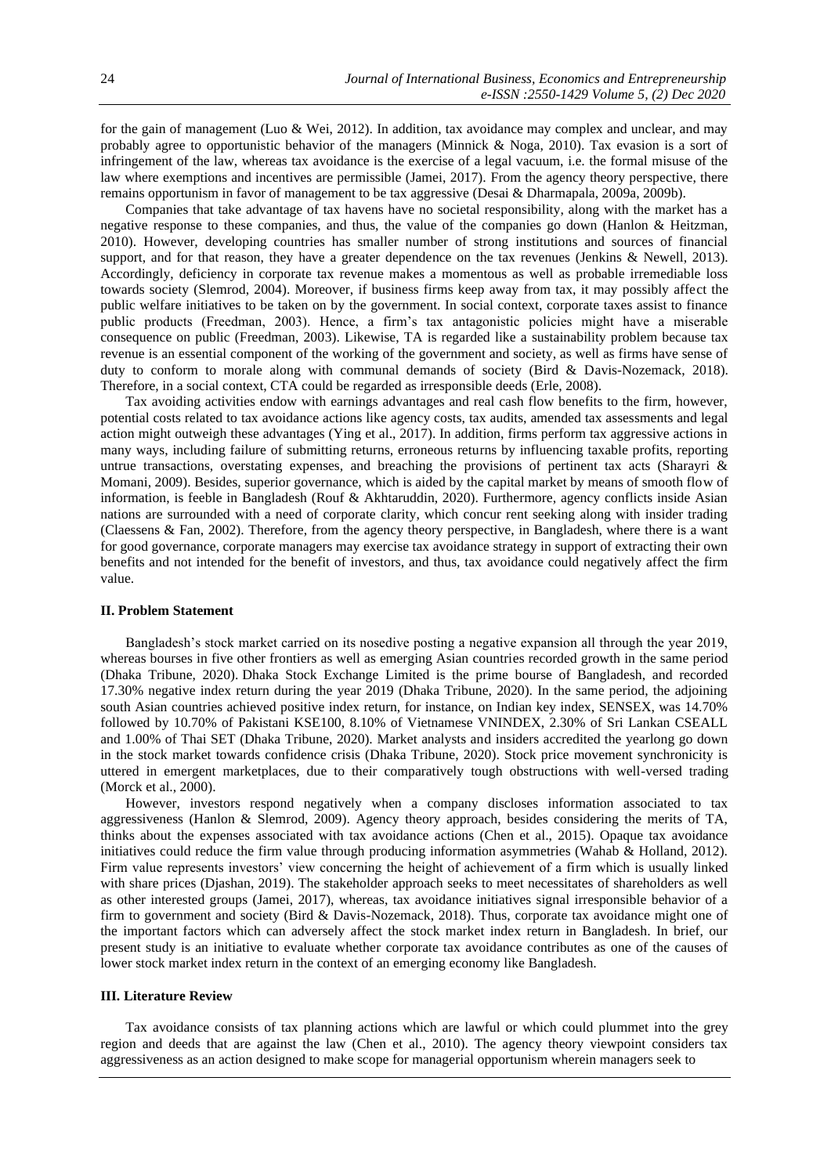for the gain of management (Luo & Wei, 2012). In addition, tax avoidance may complex and unclear, and may probably agree to opportunistic behavior of the managers (Minnick & Noga, 2010). Tax evasion is a sort of infringement of the law, whereas tax avoidance is the exercise of a legal vacuum, i.e. the formal misuse of the law where exemptions and incentives are permissible (Jamei, 2017). From the agency theory perspective, there remains opportunism in favor of management to be tax aggressive (Desai & Dharmapala, 2009a, 2009b).

Companies that take advantage of tax havens have no societal responsibility, along with the market has a negative response to these companies, and thus, the value of the companies go down (Hanlon & Heitzman, 2010). However, developing countries has smaller number of strong institutions and sources of financial support, and for that reason, they have a greater dependence on the tax revenues (Jenkins & Newell, 2013). Accordingly, deficiency in corporate tax revenue makes a momentous as well as probable irremediable loss towards society (Slemrod, 2004). Moreover, if business firms keep away from tax, it may possibly affect the public welfare initiatives to be taken on by the government. In social context, corporate taxes assist to finance public products (Freedman, 2003). Hence, a firm's tax antagonistic policies might have a miserable consequence on public (Freedman, 2003). Likewise, TA is regarded like a sustainability problem because tax revenue is an essential component of the working of the government and society, as well as firms have sense of duty to conform to morale along with communal demands of society (Bird & Davis-Nozemack, 2018). Therefore, in a social context, CTA could be regarded as irresponsible deeds (Erle, 2008).

Tax avoiding activities endow with earnings advantages and real cash flow benefits to the firm, however, potential costs related to tax avoidance actions like agency costs, tax audits, amended tax assessments and legal action might outweigh these advantages (Ying et al., 2017). In addition, firms perform tax aggressive actions in many ways, including failure of submitting returns, erroneous returns by influencing taxable profits, reporting untrue transactions, overstating expenses, and breaching the provisions of pertinent tax acts (Sharayri  $\&$ Momani, 2009). Besides, superior governance, which is aided by the capital market by means of smooth flow of information, is feeble in Bangladesh (Rouf & Akhtaruddin, 2020). Furthermore, agency conflicts inside Asian nations are surrounded with a need of corporate clarity, which concur rent seeking along with insider trading (Claessens & Fan, 2002). Therefore, from the agency theory perspective, in Bangladesh, where there is a want for good governance, corporate managers may exercise tax avoidance strategy in support of extracting their own benefits and not intended for the benefit of investors, and thus, tax avoidance could negatively affect the firm value.

### **II. Problem Statement**

Bangladesh's stock market carried on its nosedive posting a negative expansion all through the year 2019, whereas bourses in five other frontiers as well as emerging Asian countries recorded growth in the same period (Dhaka Tribune, 2020). Dhaka Stock Exchange Limited is the prime bourse of Bangladesh, and recorded 17.30% negative index return during the year 2019 (Dhaka Tribune, 2020). In the same period, the adjoining south Asian countries achieved positive index return, for instance, on Indian key index, SENSEX, was 14.70% followed by 10.70% of Pakistani KSE100, 8.10% of Vietnamese VNINDEX, 2.30% of Sri Lankan CSEALL and 1.00% of Thai SET (Dhaka Tribune, 2020). Market analysts and insiders accredited the yearlong go down in the stock market towards confidence crisis (Dhaka Tribune, 2020). Stock price movement synchronicity is uttered in emergent marketplaces, due to their comparatively tough obstructions with well-versed trading (Morck et al., 2000).

However, investors respond negatively when a company discloses information associated to tax aggressiveness (Hanlon & Slemrod, 2009). Agency theory approach, besides considering the merits of TA, thinks about the expenses associated with tax avoidance actions (Chen et al., 2015). Opaque tax avoidance initiatives could reduce the firm value through producing information asymmetries (Wahab & Holland, 2012). Firm value represents investors' view concerning the height of achievement of a firm which is usually linked with share prices (Djashan, 2019). The stakeholder approach seeks to meet necessitates of shareholders as well as other interested groups (Jamei, 2017), whereas, tax avoidance initiatives signal irresponsible behavior of a firm to government and society (Bird & Davis-Nozemack, 2018). Thus, corporate tax avoidance might one of the important factors which can adversely affect the stock market index return in Bangladesh. In brief, our present study is an initiative to evaluate whether corporate tax avoidance contributes as one of the causes of lower stock market index return in the context of an emerging economy like Bangladesh.

#### **III. Literature Review**

Tax avoidance consists of tax planning actions which are lawful or which could plummet into the grey region and deeds that are against the law (Chen et al., 2010). The agency theory viewpoint considers tax aggressiveness as an action designed to make scope for managerial opportunism wherein managers seek to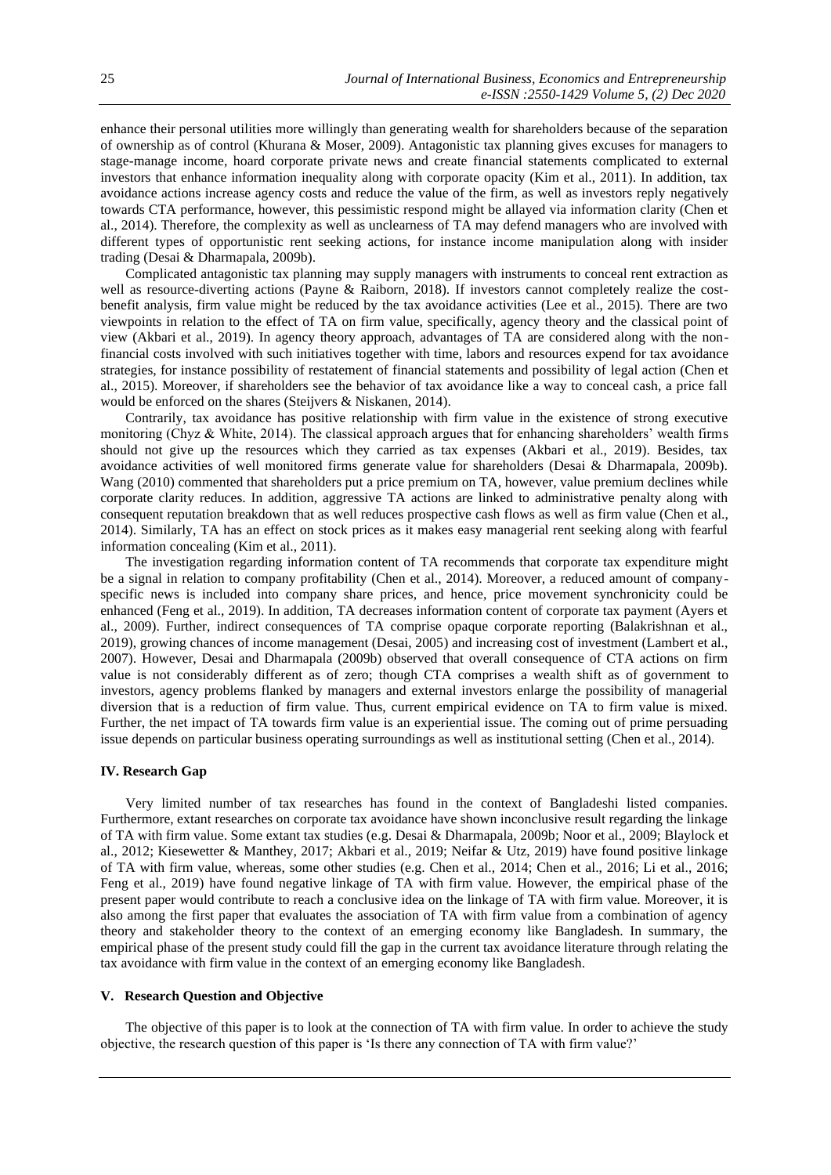enhance their personal utilities more willingly than generating wealth for shareholders because of the separation of ownership as of control (Khurana & Moser, 2009). Antagonistic tax planning gives excuses for managers to stage-manage income, hoard corporate private news and create financial statements complicated to external investors that enhance information inequality along with corporate opacity (Kim et al., 2011). In addition, tax avoidance actions increase agency costs and reduce the value of the firm, as well as investors reply negatively towards CTA performance, however, this pessimistic respond might be allayed via information clarity (Chen et al., 2014). Therefore, the complexity as well as unclearness of TA may defend managers who are involved with different types of opportunistic rent seeking actions, for instance income manipulation along with insider trading (Desai & Dharmapala, 2009b).

Complicated antagonistic tax planning may supply managers with instruments to conceal rent extraction as well as resource-diverting actions (Payne & Raiborn, 2018). If investors cannot completely realize the costbenefit analysis, firm value might be reduced by the tax avoidance activities (Lee et al., 2015). There are two viewpoints in relation to the effect of TA on firm value, specifically, agency theory and the classical point of view (Akbari et al., 2019). In agency theory approach, advantages of TA are considered along with the nonfinancial costs involved with such initiatives together with time, labors and resources expend for tax avoidance strategies, for instance possibility of restatement of financial statements and possibility of legal action (Chen et al., 2015). Moreover, if shareholders see the behavior of tax avoidance like a way to conceal cash, a price fall would be enforced on the shares (Steijvers & Niskanen, 2014).

Contrarily, tax avoidance has positive relationship with firm value in the existence of strong executive monitoring (Chyz & White, 2014). The classical approach argues that for enhancing shareholders' wealth firms should not give up the resources which they carried as tax expenses (Akbari et al., 2019). Besides, tax avoidance activities of well monitored firms generate value for shareholders (Desai & Dharmapala, 2009b). Wang (2010) commented that shareholders put a price premium on TA, however, value premium declines while corporate clarity reduces. In addition, aggressive TA actions are linked to administrative penalty along with consequent reputation breakdown that as well reduces prospective cash flows as well as firm value (Chen et al., 2014). Similarly, TA has an effect on stock prices as it makes easy managerial rent seeking along with fearful information concealing (Kim et al., 2011).

The investigation regarding information content of TA recommends that corporate tax expenditure might be a signal in relation to company profitability (Chen et al., 2014). Moreover, a reduced amount of companyspecific news is included into company share prices, and hence, price movement synchronicity could be enhanced (Feng et al., 2019). In addition, TA decreases information content of corporate tax payment (Ayers et al., 2009). Further, indirect consequences of TA comprise opaque corporate reporting (Balakrishnan et al., 2019), growing chances of income management (Desai, 2005) and increasing cost of investment (Lambert et al., 2007). However, Desai and Dharmapala (2009b) observed that overall consequence of CTA actions on firm value is not considerably different as of zero; though CTA comprises a wealth shift as of government to investors, agency problems flanked by managers and external investors enlarge the possibility of managerial diversion that is a reduction of firm value. Thus, current empirical evidence on TA to firm value is mixed. Further, the net impact of TA towards firm value is an experiential issue. The coming out of prime persuading issue depends on particular business operating surroundings as well as institutional setting (Chen et al., 2014).

### **IV. Research Gap**

Very limited number of tax researches has found in the context of Bangladeshi listed companies. Furthermore, extant researches on corporate tax avoidance have shown inconclusive result regarding the linkage of TA with firm value. Some extant tax studies (e.g. Desai & Dharmapala, 2009b; Noor et al., 2009; Blaylock et al., 2012; Kiesewetter & Manthey, 2017; Akbari et al., 2019; Neifar & Utz, 2019) have found positive linkage of TA with firm value, whereas, some other studies (e.g. Chen et al., 2014; Chen et al., 2016; Li et al., 2016; Feng et al., 2019) have found negative linkage of TA with firm value. However, the empirical phase of the present paper would contribute to reach a conclusive idea on the linkage of TA with firm value. Moreover, it is also among the first paper that evaluates the association of TA with firm value from a combination of agency theory and stakeholder theory to the context of an emerging economy like Bangladesh. In summary, the empirical phase of the present study could fill the gap in the current tax avoidance literature through relating the tax avoidance with firm value in the context of an emerging economy like Bangladesh.

## **V. Research Question and Objective**

The objective of this paper is to look at the connection of TA with firm value. In order to achieve the study objective, the research question of this paper is 'Is there any connection of TA with firm value?'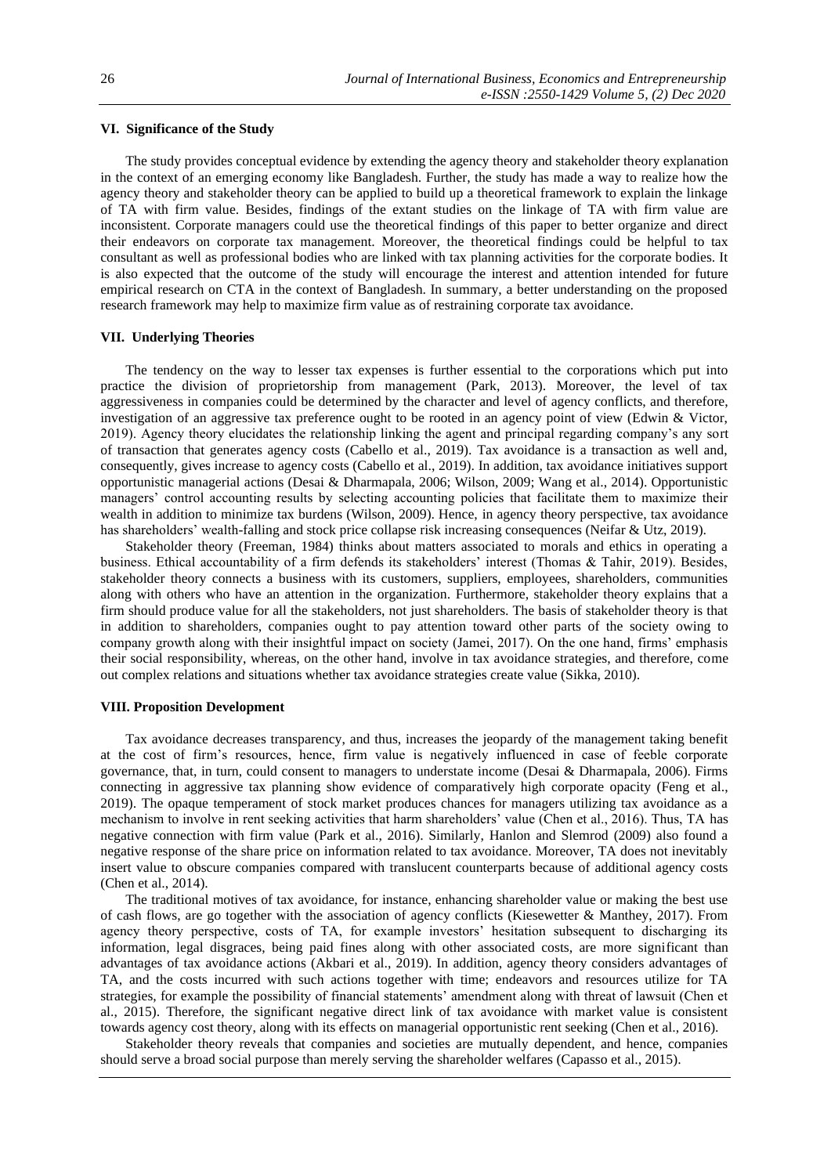## **VI. Significance of the Study**

The study provides conceptual evidence by extending the agency theory and stakeholder theory explanation in the context of an emerging economy like Bangladesh. Further, the study has made a way to realize how the agency theory and stakeholder theory can be applied to build up a theoretical framework to explain the linkage of TA with firm value. Besides, findings of the extant studies on the linkage of TA with firm value are inconsistent. Corporate managers could use the theoretical findings of this paper to better organize and direct their endeavors on corporate tax management. Moreover, the theoretical findings could be helpful to tax consultant as well as professional bodies who are linked with tax planning activities for the corporate bodies. It is also expected that the outcome of the study will encourage the interest and attention intended for future empirical research on CTA in the context of Bangladesh. In summary, a better understanding on the proposed research framework may help to maximize firm value as of restraining corporate tax avoidance.

## **VII. Underlying Theories**

The tendency on the way to lesser tax expenses is further essential to the corporations which put into practice the division of proprietorship from management (Park, 2013). Moreover, the level of tax aggressiveness in companies could be determined by the character and level of agency conflicts, and therefore, investigation of an aggressive tax preference ought to be rooted in an agency point of view (Edwin & Victor, 2019). Agency theory elucidates the relationship linking the agent and principal regarding company's any sort of transaction that generates agency costs (Cabello et al., 2019). Tax avoidance is a transaction as well and, consequently, gives increase to agency costs (Cabello et al., 2019). In addition, tax avoidance initiatives support opportunistic managerial actions (Desai & Dharmapala, 2006; Wilson, 2009; Wang et al., 2014). Opportunistic managers' control accounting results by selecting accounting policies that facilitate them to maximize their wealth in addition to minimize tax burdens (Wilson, 2009). Hence, in agency theory perspective, tax avoidance has shareholders' wealth-falling and stock price collapse risk increasing consequences (Neifar & Utz, 2019).

Stakeholder theory (Freeman, 1984) thinks about matters associated to morals and ethics in operating a business. Ethical accountability of a firm defends its stakeholders' interest (Thomas & Tahir, 2019). Besides, stakeholder theory connects a business with its customers, suppliers, employees, shareholders, communities along with others who have an attention in the organization. Furthermore, stakeholder theory explains that a firm should produce value for all the stakeholders, not just shareholders. The basis of stakeholder theory is that in addition to shareholders, companies ought to pay attention toward other parts of the society owing to company growth along with their insightful impact on society (Jamei, 2017). On the one hand, firms' emphasis their social responsibility, whereas, on the other hand, involve in tax avoidance strategies, and therefore, come out complex relations and situations whether tax avoidance strategies create value (Sikka, 2010).

#### **VIII. Proposition Development**

Tax avoidance decreases transparency, and thus, increases the jeopardy of the management taking benefit at the cost of firm's resources, hence, firm value is negatively influenced in case of feeble corporate governance, that, in turn, could consent to managers to understate income (Desai & Dharmapala, 2006). Firms connecting in aggressive tax planning show evidence of comparatively high corporate opacity (Feng et al., 2019). The opaque temperament of stock market produces chances for managers utilizing tax avoidance as a mechanism to involve in rent seeking activities that harm shareholders' value (Chen et al., 2016). Thus, TA has negative connection with firm value (Park et al., 2016). Similarly, Hanlon and Slemrod (2009) also found a negative response of the share price on information related to tax avoidance. Moreover, TA does not inevitably insert value to obscure companies compared with translucent counterparts because of additional agency costs (Chen et al., 2014).

The traditional motives of tax avoidance, for instance, enhancing shareholder value or making the best use of cash flows, are go together with the association of agency conflicts (Kiesewetter & Manthey, 2017). From agency theory perspective, costs of TA, for example investors' hesitation subsequent to discharging its information, legal disgraces, being paid fines along with other associated costs, are more significant than advantages of tax avoidance actions (Akbari et al., 2019). In addition, agency theory considers advantages of TA, and the costs incurred with such actions together with time; endeavors and resources utilize for TA strategies, for example the possibility of financial statements' amendment along with threat of lawsuit (Chen et al., 2015). Therefore, the significant negative direct link of tax avoidance with market value is consistent towards agency cost theory, along with its effects on managerial opportunistic rent seeking (Chen et al., 2016).

Stakeholder theory reveals that companies and societies are mutually dependent, and hence, companies should serve a broad social purpose than merely serving the shareholder welfares (Capasso et al., 2015).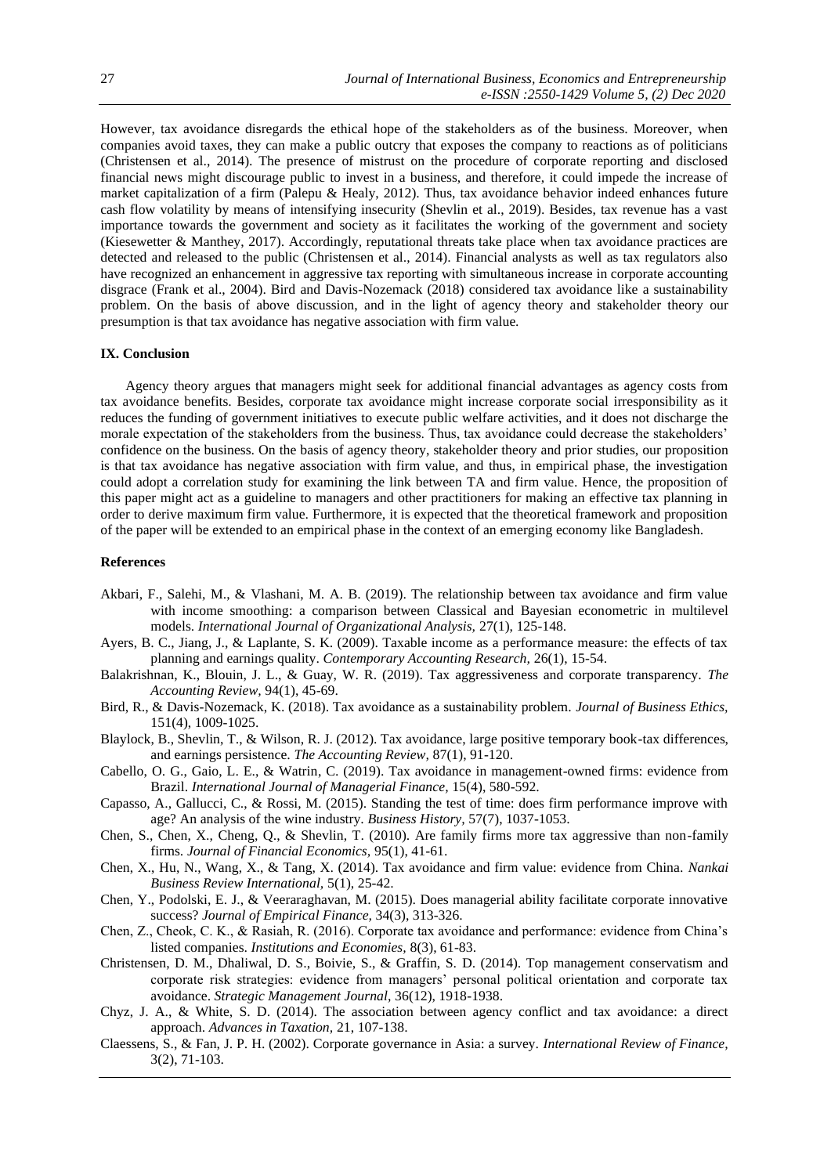However, tax avoidance disregards the ethical hope of the stakeholders as of the business. Moreover, when companies avoid taxes, they can make a public outcry that exposes the company to reactions as of politicians (Christensen et al., 2014). The presence of mistrust on the procedure of corporate reporting and disclosed financial news might discourage public to invest in a business, and therefore, it could impede the increase of market capitalization of a firm (Palepu & Healy, 2012). Thus, tax avoidance behavior indeed enhances future cash flow volatility by means of intensifying insecurity (Shevlin et al., 2019). Besides, tax revenue has a vast importance towards the government and society as it facilitates the working of the government and society (Kiesewetter & Manthey, 2017). Accordingly, reputational threats take place when tax avoidance practices are detected and released to the public (Christensen et al., 2014). Financial analysts as well as tax regulators also have recognized an enhancement in aggressive tax reporting with simultaneous increase in corporate accounting disgrace (Frank et al., 2004). Bird and Davis-Nozemack (2018) considered tax avoidance like a sustainability problem. On the basis of above discussion, and in the light of agency theory and stakeholder theory our presumption is that tax avoidance has negative association with firm value.

#### **IX. Conclusion**

Agency theory argues that managers might seek for additional financial advantages as agency costs from tax avoidance benefits. Besides, corporate tax avoidance might increase corporate social irresponsibility as it reduces the funding of government initiatives to execute public welfare activities, and it does not discharge the morale expectation of the stakeholders from the business. Thus, tax avoidance could decrease the stakeholders' confidence on the business. On the basis of agency theory, stakeholder theory and prior studies, our proposition is that tax avoidance has negative association with firm value, and thus, in empirical phase, the investigation could adopt a correlation study for examining the link between TA and firm value. Hence, the proposition of this paper might act as a guideline to managers and other practitioners for making an effective tax planning in order to derive maximum firm value. Furthermore, it is expected that the theoretical framework and proposition of the paper will be extended to an empirical phase in the context of an emerging economy like Bangladesh.

### **References**

- Akbari, F., Salehi, M., & Vlashani, M. A. B. (2019). The relationship between tax avoidance and firm value with income smoothing: a comparison between Classical and Bayesian econometric in multilevel models. *International Journal of Organizational Analysis,* 27(1), 125-148.
- Ayers, B. C., Jiang, J., & Laplante, S. K. (2009). Taxable income as a performance measure: the effects of tax planning and earnings quality. *Contemporary Accounting Research,* 26(1), 15-54.
- Balakrishnan, K., Blouin, J. L., & Guay, W. R. (2019). Tax aggressiveness and corporate transparency. *The Accounting Review,* 94(1), 45-69.
- Bird, R., & Davis-Nozemack, K. (2018). Tax avoidance as a sustainability problem. *Journal of Business Ethics,*  151(4), 1009-1025.
- Blaylock, B., Shevlin, T., & Wilson, R. J. (2012). Tax avoidance, large positive temporary book-tax differences, and earnings persistence. *The Accounting Review,* 87(1), 91-120.
- Cabello, O. G., Gaio, L. E., & Watrin, C. (2019). Tax avoidance in management-owned firms: evidence from Brazil. *International Journal of Managerial Finance,* 15(4), 580-592.
- Capasso, A., Gallucci, C., & Rossi, M. (2015). Standing the test of time: does firm performance improve with age? An analysis of the wine industry. *Business History,* 57(7), 1037-1053.
- Chen, S., Chen, X., Cheng, Q., & Shevlin, T. (2010). Are family firms more tax aggressive than non-family firms. *Journal of Financial Economics,* 95(1), 41-61.
- Chen, X., Hu, N., Wang, X., & Tang, X. (2014). Tax avoidance and firm value: evidence from China. *Nankai Business Review International,* 5(1), 25-42.
- Chen, Y., Podolski, E. J., & Veeraraghavan, M. (2015). Does managerial ability facilitate corporate innovative success? *Journal of Empirical Finance,* 34(3), 313-326.
- Chen, Z., Cheok, C. K., & Rasiah, R. (2016). Corporate tax avoidance and performance: evidence from China's listed companies. *Institutions and Economies,* 8(3), 61-83.
- Christensen, D. M., Dhaliwal, D. S., Boivie, S., & Graffin, S. D. (2014). Top management conservatism and corporate risk strategies: evidence from managers' personal political orientation and corporate tax avoidance. *Strategic Management Journal,* 36(12), 1918-1938.
- Chyz, J. A., & White, S. D. (2014). The association between agency conflict and tax avoidance: a direct approach. *Advances in Taxation,* 21, 107-138.
- Claessens, S., & Fan, J. P. H. (2002). Corporate governance in Asia: a survey. *International Review of Finance,*  3(2), 71-103.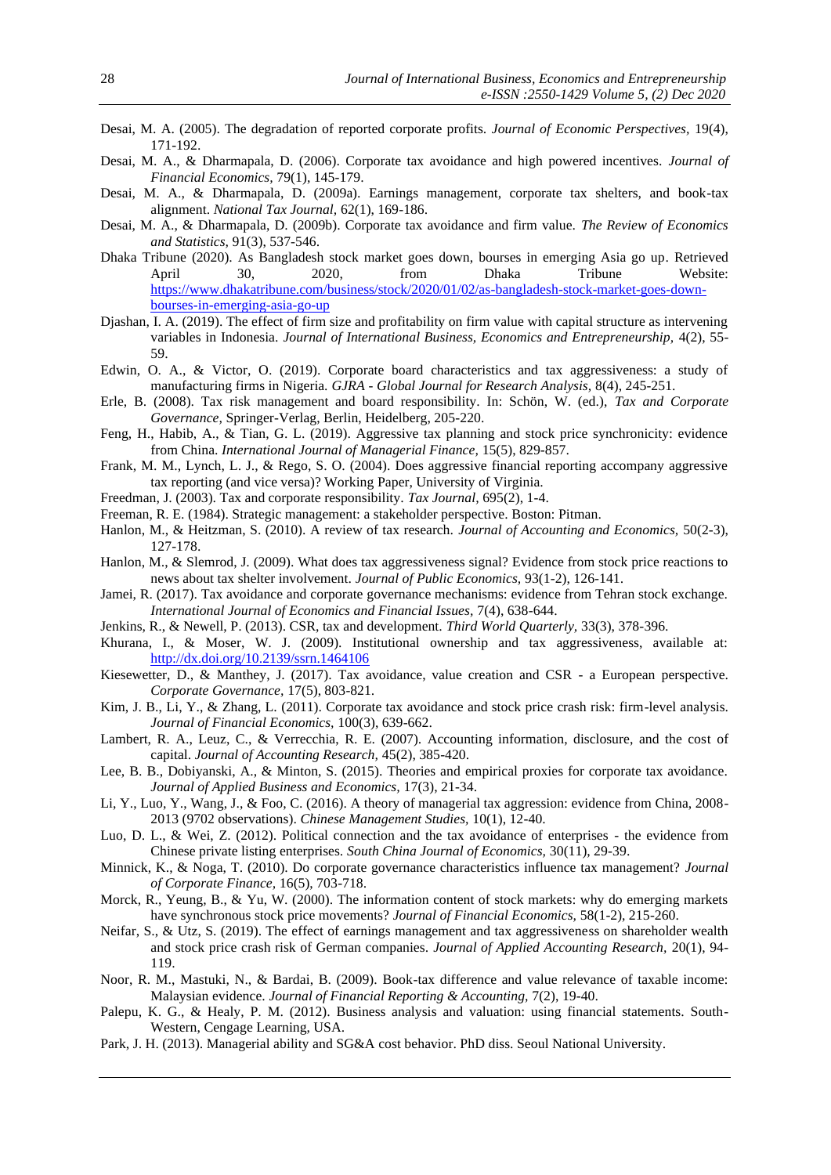- Desai, M. A. (2005). The degradation of reported corporate profits. *Journal of Economic Perspectives,* 19(4), 171-192.
- Desai, M. A., & Dharmapala, D. (2006). Corporate tax avoidance and high powered incentives. *Journal of Financial Economics,* 79(1), 145-179.
- Desai, M. A., & Dharmapala, D. (2009a). Earnings management, corporate tax shelters, and book-tax alignment. *National Tax Journal,* 62(1), 169-186.
- Desai, M. A., & Dharmapala, D. (2009b). Corporate tax avoidance and firm value. *The Review of Economics and Statistics,* 91(3), 537-546.
- Dhaka Tribune (2020). As Bangladesh stock market goes down, bourses in emerging Asia go up. Retrieved April 30, 2020, from Dhaka Tribune Website: [https://www.dhakatribune.com/business/stock/2020/01/02/as-bangladesh-stock-market-goes-down](https://www.dhakatribune.com/business/stock/2020/01/02/as-bangladesh-stock-market-goes-down-bourses-in-emerging-asia-go-up)[bourses-in-emerging-asia-go-up](https://www.dhakatribune.com/business/stock/2020/01/02/as-bangladesh-stock-market-goes-down-bourses-in-emerging-asia-go-up)
- Djashan, I. A. (2019). The effect of firm size and profitability on firm value with capital structure as intervening variables in Indonesia. *Journal of International Business, Economics and Entrepreneurship*, 4(2), 55-59.
- Edwin, O. A., & Victor, O. (2019). Corporate board characteristics and tax aggressiveness: a study of manufacturing firms in Nigeria. *GJRA - Global Journal for Research Analysis,* 8(4), 245-251.
- Erle, B. (2008). Tax risk management and board responsibility. In: Schön, W. (ed.), *Tax and Corporate Governance,* Springer-Verlag, Berlin, Heidelberg, 205-220.
- Feng, H., Habib, A., & Tian, G. L. (2019). Aggressive tax planning and stock price synchronicity: evidence from China. *International Journal of Managerial Finance,* 15(5), 829-857.
- Frank, M. M., Lynch, L. J., & Rego, S. O. (2004). Does aggressive financial reporting accompany aggressive tax reporting (and vice versa)? Working Paper, University of Virginia.
- Freedman, J. (2003). Tax and corporate responsibility. *Tax Journal,* 695(2), 1-4.
- Freeman, R. E. (1984). Strategic management: a stakeholder perspective. Boston: Pitman.
- Hanlon, M., & Heitzman, S. (2010). A review of tax research. *Journal of Accounting and Economics,* 50(2-3), 127-178.
- Hanlon, M., & Slemrod, J. (2009). What does tax aggressiveness signal? Evidence from stock price reactions to news about tax shelter involvement. *Journal of Public Economics,* 93(1-2), 126-141.
- Jamei, R. (2017). Tax avoidance and corporate governance mechanisms: evidence from Tehran stock exchange. *International Journal of Economics and Financial Issues,* 7(4), 638-644.
- Jenkins, R., & Newell, P. (2013). CSR, tax and development. *Third World Quarterly,* 33(3), 378-396.
- Khurana, I., & Moser, W. J. (2009). Institutional ownership and tax aggressiveness, available at: [http://dx.doi.org/10.2139/ssrn.1464106](https://dx.doi.org/10.2139/ssrn.1464106)
- Kiesewetter, D., & Manthey, J. (2017). Tax avoidance, value creation and CSR a European perspective. *Corporate Governance,* 17(5), 803-821.
- Kim, J. B., Li, Y., & Zhang, L. (2011). Corporate tax avoidance and stock price crash risk: firm-level analysis. *Journal of Financial Economics,* 100(3), 639-662.
- Lambert, R. A., Leuz, C., & Verrecchia, R. E. (2007). Accounting information, disclosure, and the cost of capital. *Journal of Accounting Research,* 45(2), 385-420.
- Lee, B. B., Dobiyanski, A., & Minton, S. (2015). Theories and empirical proxies for corporate tax avoidance. *Journal of Applied Business and Economics,* 17(3), 21-34.
- Li, Y., Luo, Y., Wang, J., & Foo, C. (2016). A theory of managerial tax aggression: evidence from China, 2008- 2013 (9702 observations). *Chinese Management Studies,* 10(1), 12-40.
- Luo, D. L., & Wei, Z. (2012). Political connection and the tax avoidance of enterprises the evidence from Chinese private listing enterprises. *South China Journal of Economics,* 30(11), 29-39.
- Minnick, K., & Noga, T. (2010). Do corporate governance characteristics influence tax management? *Journal of Corporate Finance,* 16(5), 703-718.
- Morck, R., Yeung, B., & Yu, W. (2000). The information content of stock markets: why do emerging markets have synchronous stock price movements? *Journal of Financial Economics,* 58(1-2), 215-260.
- Neifar, S., & Utz, S. (2019). The effect of earnings management and tax aggressiveness on shareholder wealth and stock price crash risk of German companies. *Journal of Applied Accounting Research,* 20(1), 94- 119.
- Noor, R. M., Mastuki, N., & Bardai, B. (2009). Book-tax difference and value relevance of taxable income: Malaysian evidence. *Journal of Financial Reporting & Accounting,* 7(2), 19-40.
- Palepu, K. G., & Healy, P. M. (2012). Business analysis and valuation: using financial statements. South-Western, Cengage Learning, USA.
- Park, J. H. (2013). Managerial ability and SG&A cost behavior. PhD diss. Seoul National University.